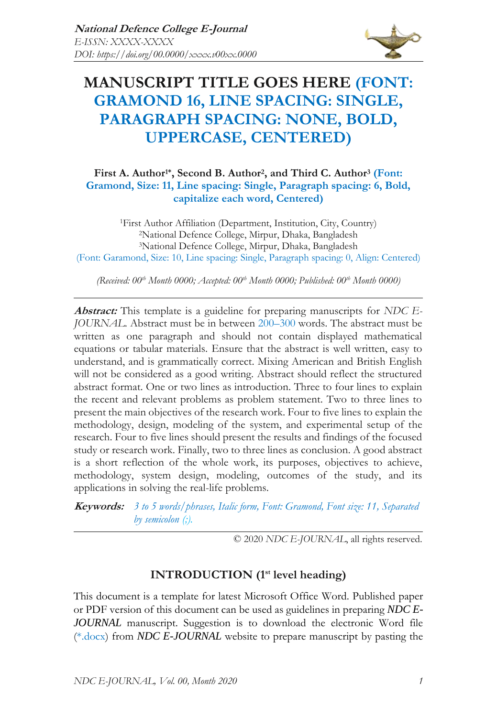

# **MANUSCRIPT TITLE GOES HERE (FONT: GRAMOND 16, LINE SPACING: SINGLE, PARAGRAPH SPACING: NONE, BOLD, UPPERCASE, CENTERED)**

### **First A. Author1\*, Second B. Author<sup>2</sup> , and Third C. Author<sup>3</sup> (Font: Gramond, Size: 11, Line spacing: Single, Paragraph spacing: 6, Bold, capitalize each word, Centered)**

First Author Affiliation (Department, Institution, City, Country) National Defence College, Mirpur, Dhaka, Bangladesh National Defence College, Mirpur, Dhaka, Bangladesh (Font: Garamond, Size: 10, Line spacing: Single, Paragraph spacing: 0, Align: Centered)

*(Received: 00th Month 0000; Accepted: 00th Month 0000; Published: 00th Month 0000)*

**Abstract:** This template is a guideline for preparing manuscripts for *NDC E-JOURNAL*. Abstract must be in between 200–300 words. The abstract must be written as one paragraph and should not contain displayed mathematical equations or tabular materials. Ensure that the abstract is well written, easy to understand, and is grammatically correct. Mixing American and British English will not be considered as a good writing. Abstract should reflect the structured abstract format. One or two lines as introduction. Three to four lines to explain the recent and relevant problems as problem statement. Two to three lines to present the main objectives of the research work. Four to five lines to explain the methodology, design, modeling of the system, and experimental setup of the research. Four to five lines should present the results and findings of the focused study or research work. Finally, two to three lines as conclusion. A good abstract is a short reflection of the whole work, its purposes, objectives to achieve, methodology, system design, modeling, outcomes of the study, and its applications in solving the real-life problems.

**Keywords:** *3 to 5 words/phrases, Italic form, Font: Gramond, Font size: 11, Separated by semicolon (;).*

© 2020 *NDC E-JOURNAL*, all rights reserved.

### **INTRODUCTION (1st level heading)**

This document is a template for latest Microsoft Office Word. Published paper or PDF version of this document can be used as guidelines in preparing *NDC E-JOURNAL* manuscript. Suggestion is to download the electronic Word file (\*.docx) from *NDC E-JOURNAL* website to prepare manuscript by pasting the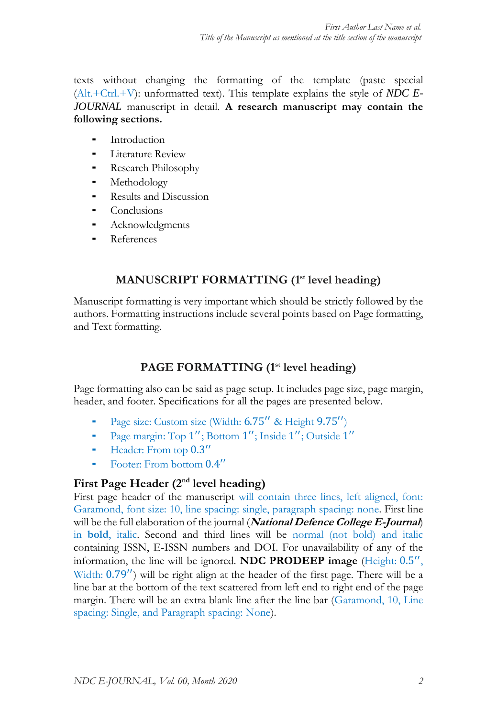texts without changing the formatting of the template (paste special (Alt.+Ctrl.+V): unformatted text). This template explains the style of *NDC E-JOURNAL* manuscript in detail. **A research manuscript may contain the following sections.**

- **Introduction**
- Literature Review
- ⁃ Research Philosophy
- **Methodology**
- Results and Discussion
- **Conclusions**
- **Acknowledgments**
- **References**

# **MANUSCRIPT FORMATTING (1st level heading)**

Manuscript formatting is very important which should be strictly followed by the authors. Formatting instructions include several points based on Page formatting, and Text formatting.

# **PAGE FORMATTING (1st level heading)**

Page formatting also can be said as page setup. It includes page size, page margin, header, and footer. Specifications for all the pages are presented below.

- Page size: Custom size (Width: 6.75" & Height 9.75")
- Page margin: Top 1"; Bottom 1"; Inside 1"; Outside 1"
- ⁃ Header: From top 0.3 ′′
- ⁃ Footer: From bottom 0.4 ′′

### **First Page Header (2nd level heading)**

First page header of the manuscript will contain three lines, left aligned, font: Garamond, font size: 10, line spacing: single, paragraph spacing: none. First line will be the full elaboration of the journal (**National Defence College E-Journal**) in **bold**, italic. Second and third lines will be normal (not bold) and italic containing ISSN, E-ISSN numbers and DOI. For unavailability of any of the information, the line will be ignored. **NDC PRODEEP image** (Height: 0.5 ′′ , Width: 0.79′′) will be right align at the header of the first page. There will be a line bar at the bottom of the text scattered from left end to right end of the page margin. There will be an extra blank line after the line bar (Garamond, 10, Line spacing: Single, and Paragraph spacing: None).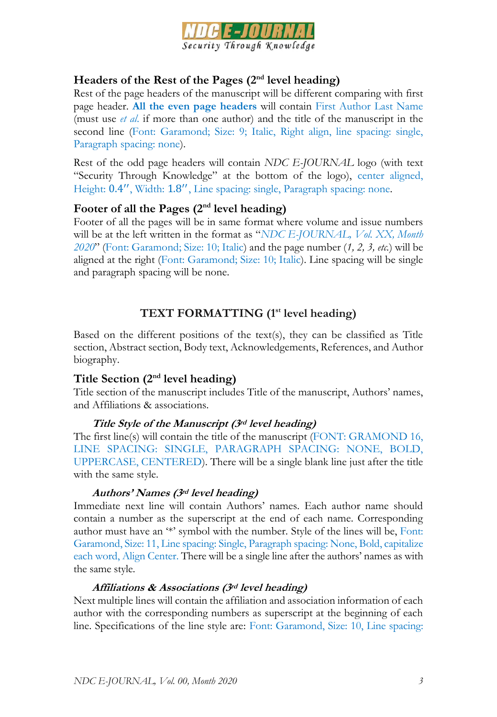

### **Headers of the Rest of the Pages (2nd level heading)**

Rest of the page headers of the manuscript will be different comparing with first page header. **All the even page headers** will contain First Author Last Name (must use *et al*. if more than one author) and the title of the manuscript in the second line (Font: Garamond; Size: 9; Italic, Right align, line spacing: single, Paragraph spacing: none).

Rest of the odd page headers will contain *NDC E-JOURNAL* logo (with text "Security Through Knowledge" at the bottom of the logo), center aligned, Height: 0.4", Width: 1.8", Line spacing: single, Paragraph spacing: none.

# **Footer of all the Pages (2nd level heading)**

Footer of all the pages will be in same format where volume and issue numbers will be at the left written in the format as "*NDC E-JOURNAL, Vol. XX, Month 2020*" (Font: Garamond; Size: 10; Italic) and the page number (*1, 2, 3, etc.*) will be aligned at the right (Font: Garamond; Size: 10; Italic). Line spacing will be single and paragraph spacing will be none.

# **TEXT FORMATTING (1st level heading)**

Based on the different positions of the text(s), they can be classified as Title section, Abstract section, Body text, Acknowledgements, References, and Author biography.

# **Title Section (2nd level heading)**

Title section of the manuscript includes Title of the manuscript, Authors' names, and Affiliations & associations.

#### **Title Style of the Manuscript (3rd level heading)**

The first line(s) will contain the title of the manuscript (FONT: GRAMOND 16, LINE SPACING: SINGLE, PARAGRAPH SPACING: NONE, BOLD, UPPERCASE, CENTERED). There will be a single blank line just after the title with the same style.

#### **Authors' Names (3rd level heading)**

Immediate next line will contain Authors' names. Each author name should contain a number as the superscript at the end of each name. Corresponding author must have an '\*' symbol with the number. Style of the lines will be, Font: Garamond, Size: 11, Line spacing: Single, Paragraph spacing: None, Bold, capitalize each word, Align Center. There will be a single line after the authors' names as with the same style.

#### **Affiliations & Associations (3rd level heading)**

Next multiple lines will contain the affiliation and association information of each author with the corresponding numbers as superscript at the beginning of each line. Specifications of the line style are: Font: Garamond, Size: 10, Line spacing: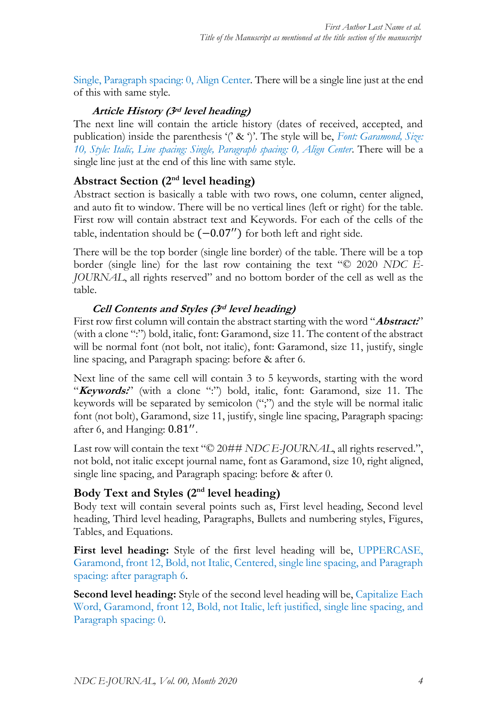Single, Paragraph spacing: 0, Align Center. There will be a single line just at the end of this with same style.

### **Article History (3rd level heading)**

The next line will contain the article history (dates of received, accepted, and publication) inside the parenthesis '(' & ')'. The style will be, *Font: Garamond, Size: 10, Style: Italic, Line spacing: Single, Paragraph spacing: 0, Align Center*. There will be a single line just at the end of this line with same style.

# **Abstract Section (2nd level heading)**

Abstract section is basically a table with two rows, one column, center aligned, and auto fit to window. There will be no vertical lines (left or right) for the table. First row will contain abstract text and Keywords. For each of the cells of the table, indentation should be  $(-0.07'')$  for both left and right side.

There will be the top border (single line border) of the table. There will be a top border (single line) for the last row containing the text "© 2020 *NDC E-JOURNAL*, all rights reserved" and no bottom border of the cell as well as the table.

# **Cell Contents and Styles (3rd level heading)**

First row first column will contain the abstract starting with the word "**Abstract:**" (with a clone ":") bold, italic, font: Garamond, size 11. The content of the abstract will be normal font (not bolt, not italic), font: Garamond, size 11, justify, single line spacing, and Paragraph spacing: before & after 6.

Next line of the same cell will contain 3 to 5 keywords, starting with the word "Keywords:" (with a clone ":") bold, italic, font: Garamond, size 11. The keywords will be separated by semicolon (";") and the style will be normal italic font (not bolt), Garamond, size 11, justify, single line spacing, Paragraph spacing: after 6, and Hanging: 0.81".

Last row will contain the text "© 20## *NDC E-JOURNAL*, all rights reserved.", not bold, not italic except journal name, font as Garamond, size 10, right aligned, single line spacing, and Paragraph spacing: before & after 0.

# **Body Text and Styles (2nd level heading)**

Body text will contain several points such as, First level heading, Second level heading, Third level heading, Paragraphs, Bullets and numbering styles, Figures, Tables, and Equations.

**First level heading:** Style of the first level heading will be, UPPERCASE, Garamond, front 12, Bold, not Italic, Centered, single line spacing, and Paragraph spacing: after paragraph 6.

**Second level heading:** Style of the second level heading will be, Capitalize Each Word, Garamond, front 12, Bold, not Italic, left justified, single line spacing, and Paragraph spacing: 0.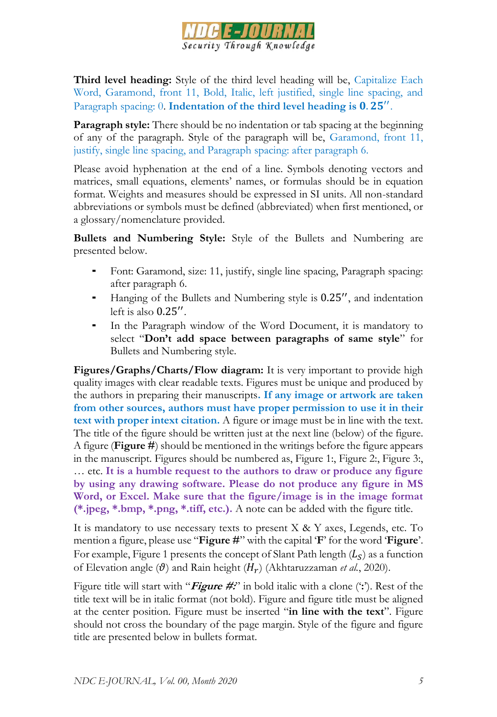

**Third level heading:** Style of the third level heading will be, Capitalize Each Word, Garamond, front 11, Bold, Italic, left justified, single line spacing, and Paragraph spacing: 0. Indentation of the third level heading is 0.25".

**Paragraph style:** There should be no indentation or tab spacing at the beginning of any of the paragraph. Style of the paragraph will be, Garamond, front 11, justify, single line spacing, and Paragraph spacing: after paragraph 6.

Please avoid hyphenation at the end of a line. Symbols denoting vectors and matrices, small equations, elements' names, or formulas should be in equation format. Weights and measures should be expressed in SI units. All non-standard abbreviations or symbols must be defined (abbreviated) when first mentioned, or a glossary/nomenclature provided.

**Bullets and Numbering Style:** Style of the Bullets and Numbering are presented below.

- Font: Garamond, size: 11, justify, single line spacing, Paragraph spacing: after paragraph 6.
- Hanging of the Bullets and Numbering style is  $0.25''$ , and indentation left is also 0.25′′ .
- In the Paragraph window of the Word Document, it is mandatory to select "**Don't add space between paragraphs of same style**" for Bullets and Numbering style.

**Figures/Graphs/Charts/Flow diagram:** It is very important to provide high quality images with clear readable texts. Figures must be unique and produced by the authors in preparing their manuscripts**. If any image or artwork are taken from other sources, authors must have proper permission to use it in their text with proper intext citation.** A figure or image must be in line with the text. The title of the figure should be written just at the next line (below) of the figure. A figure (**Figure #**) should be mentioned in the writings before the figure appears in the manuscript. Figures should be numbered as, Figure 1:, Figure 2:, Figure 3:, … etc. **It is a humble request to the authors to draw or produce any figure by using any drawing software. Please do not produce any figure in MS Word, or Excel. Make sure that the figure/image is in the image format (\*.jpeg, \*.bmp, \*.png, \*.tiff, etc.).** A note can be added with the figure title.

It is mandatory to use necessary texts to present  $X \& Y$  axes, Legends, etc. To mention a figure, please use "**Figure #**" with the capital '**F**' for the word '**Figure**'. For example, Figure 1 presents the concept of Slant Path length  $(L_S)$  as a function of Elevation angle  $(\theta)$  and Rain height  $(H_r)$  (Akhtaruzzaman *et al.*, 2020).

Figure title will start with "**Figure #:**" in bold italic with a clone ('**:**'). Rest of the title text will be in italic format (not bold). Figure and figure title must be aligned at the center position. Figure must be inserted "**in line with the text**". Figure should not cross the boundary of the page margin. Style of the figure and figure title are presented below in bullets format.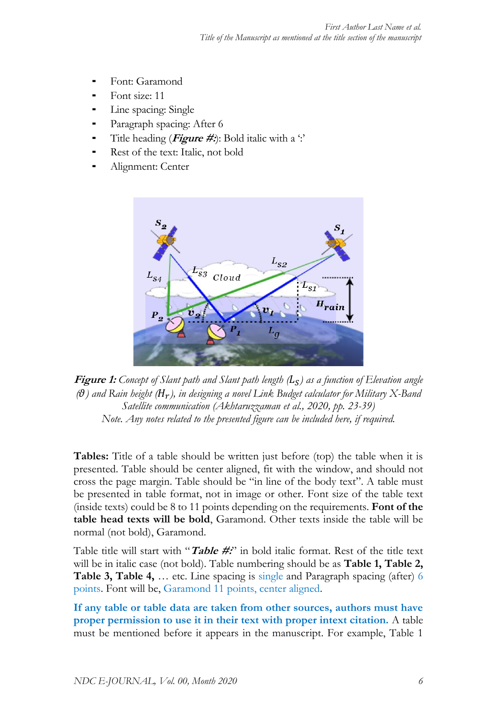- ⁃ Font: Garamond
- Font size: 11
- Line spacing: Single
- Paragraph spacing: After 6
- Title heading (**Figure #:**): Bold italic with a ':'
- Rest of the text: Italic, not bold
- Alignment: Center





**Tables:** Title of a table should be written just before (top) the table when it is presented. Table should be center aligned, fit with the window, and should not cross the page margin. Table should be "in line of the body text". A table must be presented in table format, not in image or other. Font size of the table text (inside texts) could be 8 to 11 points depending on the requirements. **Font of the table head texts will be bold**, Garamond. Other texts inside the table will be normal (not bold), Garamond.

Table title will start with "**Table #:**" in bold italic format. Rest of the title text will be in italic case (not bold). Table numbering should be as **Table 1, Table 2, Table 3, Table 4,** … etc. Line spacing is single and Paragraph spacing (after) 6 points. Font will be, Garamond 11 points, center aligned.

**If any table or table data are taken from other sources, authors must have proper permission to use it in their text with proper intext citation.** A table must be mentioned before it appears in the manuscript. For example, Table 1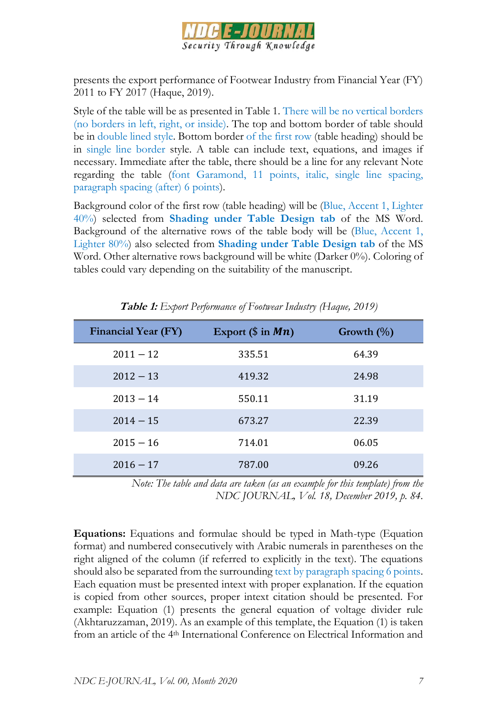

presents the export performance of Footwear Industry from Financial Year (FY) 2011 to FY 2017 (Haque, 2019).

Style of the table will be as presented in Table 1. There will be no vertical borders (no borders in left, right, or inside). The top and bottom border of table should be in double lined style. Bottom border of the first row (table heading) should be in single line border style. A table can include text, equations, and images if necessary. Immediate after the table, there should be a line for any relevant Note regarding the table (font Garamond, 11 points, italic, single line spacing, paragraph spacing (after) 6 points).

Background color of the first row (table heading) will be (Blue, Accent 1, Lighter 40%) selected from **Shading under Table Design tab** of the MS Word. Background of the alternative rows of the table body will be (Blue, Accent 1, Lighter 80%) also selected from **Shading under Table Design tab** of the MS Word. Other alternative rows background will be white (Darker 0%). Coloring of tables could vary depending on the suitability of the manuscript.

| <b>Financial Year (FY)</b> | Export $(\$$ in $Mn)$ | Growth $(\%)$ |
|----------------------------|-----------------------|---------------|
| $2011 - 12$                | 335.51                | 64.39         |
| $2012 - 13$                | 419.32                | 24.98         |
| $2013 - 14$                | 550.11                | 31.19         |
| $2014 - 15$                | 673.27                | 22.39         |
| $2015 - 16$                | 714.01                | 06.05         |
| $2016 - 17$                | 787.00                | 09.26         |

**Table 1:** *Export Performance of Footwear Industry (Haque, 2019)*

*Note: The table and data are taken (as an example for this template) from the NDC JOURNAL, Vol. 18, December 2019, p. 84.*

**Equations:** Equations and formulae should be typed in Math-type (Equation format) and numbered consecutively with Arabic numerals in parentheses on the right aligned of the column (if referred to explicitly in the text). The equations should also be separated from the surrounding text by paragraph spacing 6 points. Each equation must be presented intext with proper explanation. If the equation is copied from other sources, proper intext citation should be presented. For example: Equation (1) presents the general equation of voltage divider rule (Akhtaruzzaman, 2019). As an example of this template, the Equation (1) is taken from an article of the 4th International Conference on Electrical Information and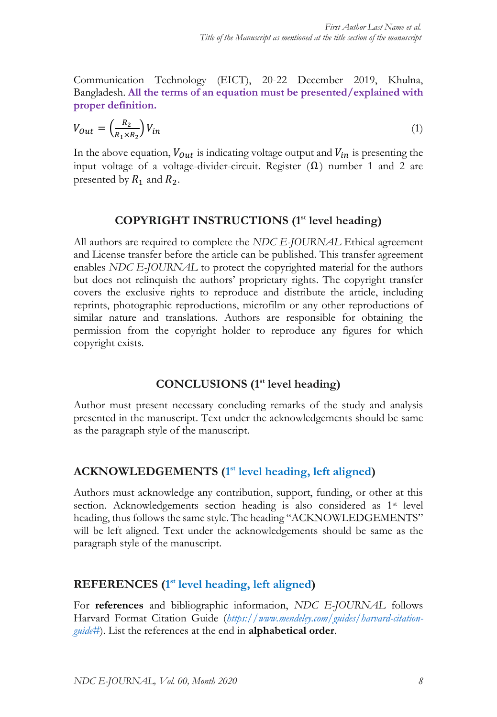Communication Technology (EICT), 20-22 December 2019, Khulna, Bangladesh. **All the terms of an equation must be presented/explained with proper definition.**

$$
V_{Out} = \left(\frac{R_2}{R_1 \times R_2}\right) V_{in} \tag{1}
$$

In the above equation,  $V_{out}$  is indicating voltage output and  $V_{in}$  is presenting the input voltage of a voltage-divider-circuit. Register  $(\Omega)$  number 1 and 2 are presented by  $R_1$  and  $R_2$ .

### **COPYRIGHT INSTRUCTIONS (1st level heading)**

All authors are required to complete the *NDC E-JOURNAL* Ethical agreement and License transfer before the article can be published. This transfer agreement enables *NDC E-JOURNAL* to protect the copyrighted material for the authors but does not relinquish the authors' proprietary rights. The copyright transfer covers the exclusive rights to reproduce and distribute the article, including reprints, photographic reproductions, microfilm or any other reproductions of similar nature and translations. Authors are responsible for obtaining the permission from the copyright holder to reproduce any figures for which copyright exists.

### **CONCLUSIONS (1st level heading)**

Author must present necessary concluding remarks of the study and analysis presented in the manuscript. Text under the acknowledgements should be same as the paragraph style of the manuscript.

# **ACKNOWLEDGEMENTS (1 st level heading, left aligned)**

Authors must acknowledge any contribution, support, funding, or other at this section. Acknowledgements section heading is also considered as 1<sup>st</sup> level heading, thus follows the same style. The heading "ACKNOWLEDGEMENTS" will be left aligned. Text under the acknowledgements should be same as the paragraph style of the manuscript.

### **REFERENCES (1 st level heading, left aligned)**

For **references** and bibliographic information, *NDC E-JOURNAL* follows Harvard Format Citation Guide (*[https://www.mendeley.com/guides/harvard-citation](https://www.mendeley.com/guides/harvard-citation-guide%23)[guide#](https://www.mendeley.com/guides/harvard-citation-guide%23)*). List the references at the end in **alphabetical order**.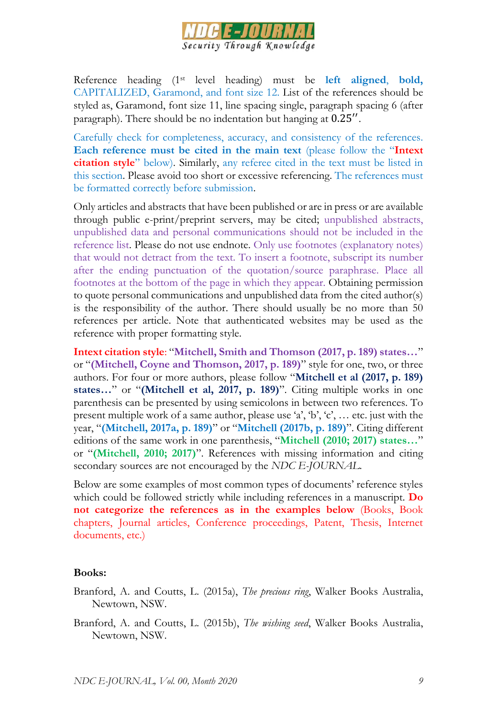

Reference heading (1st level heading) must be **left aligned**, **bold,** CAPITALIZED, Garamond, and font size 12. List of the references should be styled as, Garamond, font size 11, line spacing single, paragraph spacing 6 (after paragraph). There should be no indentation but hanging at 0.25".

Carefully check for completeness, accuracy, and consistency of the references. **Each reference must be cited in the main text** (please follow the "**Intext citation style**" below). Similarly, any referee cited in the text must be listed in this section. Please avoid too short or excessive referencing. The references must be formatted correctly before submission.

Only articles and abstracts that have been published or are in press or are available through public e-print/preprint servers, may be cited; unpublished abstracts, unpublished data and personal communications should not be included in the reference list. Please do not use endnote. Only use footnotes (explanatory notes) that would not detract from the text. To insert a footnote, subscript its number after the ending punctuation of the quotation/source paraphrase. Place all footnotes at the bottom of the page in which they appear. Obtaining permission to quote personal communications and unpublished data from the cited author(s) is the responsibility of the author. There should usually be no more than 50 references per article. Note that authenticated websites may be used as the reference with proper formatting style.

**Intext citation style**: "**Mitchell, Smith and Thomson (2017, p. 189) states…**" or "**(Mitchell, Coyne and Thomson, 2017, p. 189)**" style for one, two, or three authors. For four or more authors, please follow "**Mitchell et al (2017, p. 189) states…**" or "**(Mitchell et al, 2017, p. 189)**". Citing multiple works in one parenthesis can be presented by using semicolons in between two references. To present multiple work of a same author, please use 'a', 'b', 'c', … etc. just with the year, "**(Mitchell, 2017a, p. 189)**" or "**Mitchell (2017b, p. 189)**". Citing different editions of the same work in one parenthesis, "**Mitchell (2010; 2017) states…**" or "**(Mitchell, 2010; 2017)**". References with missing information and citing secondary sources are not encouraged by the *NDC E-JOURNAL*.

Below are some examples of most common types of documents' reference styles which could be followed strictly while including references in a manuscript. **Do not categorize the references as in the examples below** (Books, Book chapters, Journal articles, Conference proceedings, Patent, Thesis, Internet documents, etc.)

#### **Books:**

- Branford, A. and Coutts, L. (2015a), *The precious ring*, Walker Books Australia, Newtown, NSW.
- Branford, A. and Coutts, L. (2015b), *The wishing seed*, Walker Books Australia, Newtown, NSW.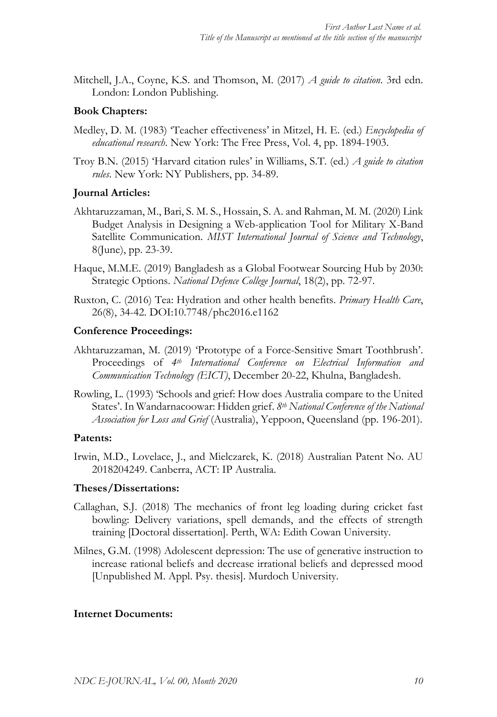Mitchell, J.A., Coyne, K.S. and Thomson, M. (2017) *A guide to citation*. 3rd edn. London: London Publishing.

#### **Book Chapters:**

- Medley, D. M. (1983) 'Teacher effectiveness' in Mitzel, H. E. (ed.) *Encyclopedia of educational research*. New York: The Free Press, Vol. 4, pp. 1894-1903.
- Troy B.N. (2015) 'Harvard citation rules' in Williams, S.T. (ed.) *A guide to citation rules*. New York: NY Publishers, pp. 34-89.

#### **Journal Articles:**

- Akhtaruzzaman, M., Bari, S. M. S., Hossain, S. A. and Rahman, M. M. (2020) Link Budget Analysis in Designing a Web-application Tool for Military X-Band Satellite Communication. *MIST International Journal of Science and Technology*, 8(June), pp. 23-39.
- Haque, M.M.E. (2019) Bangladesh as a Global Footwear Sourcing Hub by 2030: Strategic Options. *National Defence College Journal*, 18(2), pp. 72-97.
- Ruxton, C. (2016) Tea: Hydration and other health benefits. *Primary Health Care*, 26(8), 34-42. DOI:10.7748/phc2016.e1162

#### **Conference Proceedings:**

- Akhtaruzzaman, M. (2019) 'Prototype of a Force-Sensitive Smart Toothbrush'. Proceedings of *4th International Conference on Electrical Information and Communication Technology (EICT)*, December 20-22, Khulna, Bangladesh.
- Rowling, L. (1993) 'Schools and grief: How does Australia compare to the United States'. In Wandarnacoowar: Hidden grief. *8th National Conference of the National Association for Loss and Grief* (Australia), Yeppoon, Queensland (pp. 196-201).

#### **Patents:**

Irwin, M.D., Lovelace, J., and Mielczarek, K. (2018) Australian Patent No. AU 2018204249. Canberra, ACT: IP Australia.

#### **Theses/Dissertations:**

- Callaghan, S.J. (2018) The mechanics of front leg loading during cricket fast bowling: Delivery variations, spell demands, and the effects of strength training [Doctoral dissertation]. Perth, WA: Edith Cowan University.
- Milnes, G.M. (1998) Adolescent depression: The use of generative instruction to increase rational beliefs and decrease irrational beliefs and depressed mood [Unpublished M. Appl. Psy. thesis]. Murdoch University.

#### **Internet Documents:**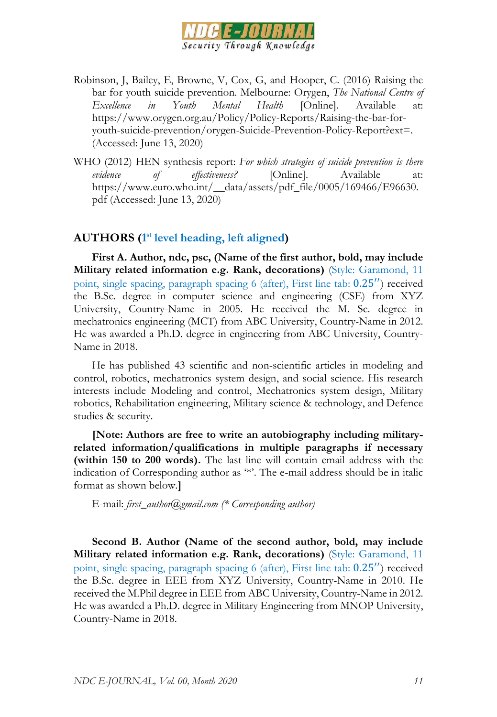

- Robinson, J, Bailey, E, Browne, V, Cox, G, and Hooper, C. (2016) Raising the bar for youth suicide prevention. Melbourne: Orygen, *The National Centre of Excellence in Youth Mental Health* [Online]. Available at: https://www.orygen.org.au/Policy/Policy-Reports/Raising-the-bar-foryouth-suicide-prevention/orygen-Suicide-Prevention-Policy-Report?ext=. (Accessed: June 13, 2020)
- WHO (2012) HEN synthesis report: *For which strategies of suicide prevention is there evidence of effectiveness?* [Online]. Available at: https://www.euro.who.int/\_\_data/assets/pdf\_file/0005/169466/E96630. pdf (Accessed: June 13, 2020)

### **AUTHORS (1 st level heading, left aligned)**

**First A. Author, ndc, psc, (Name of the first author, bold, may include Military related information e.g. Rank, decorations)** (Style: Garamond, 11 point, single spacing, paragraph spacing 6 (after), First line tab: 0.25′′) received the B.Sc. degree in computer science and engineering (CSE) from XYZ University, Country-Name in 2005. He received the M. Sc. degree in mechatronics engineering (MCT) from ABC University, Country-Name in 2012. He was awarded a Ph.D. degree in engineering from ABC University, Country-Name in 2018.

He has published 43 scientific and non-scientific articles in modeling and control, robotics, mechatronics system design, and social science. His research interests include Modeling and control, Mechatronics system design, Military robotics, Rehabilitation engineering, Military science & technology, and Defence studies & security.

**[Note: Authors are free to write an autobiography including militaryrelated information/qualifications in multiple paragraphs if necessary (within 150 to 200 words).** The last line will contain email address with the indication of Corresponding author as '\*'. The e-mail address should be in italic format as shown below.**]**

E-mail: *first\_author@gmail.com (\* Corresponding author)*

**Second B. Author (Name of the second author, bold, may include Military related information e.g. Rank, decorations)** (Style: Garamond, 11 point, single spacing, paragraph spacing 6 (after), First line tab: 0.25′′) received the B.Sc. degree in EEE from XYZ University, Country-Name in 2010. He received the M.Phil degree in EEE from ABC University, Country-Name in 2012. He was awarded a Ph.D. degree in Military Engineering from MNOP University, Country-Name in 2018.